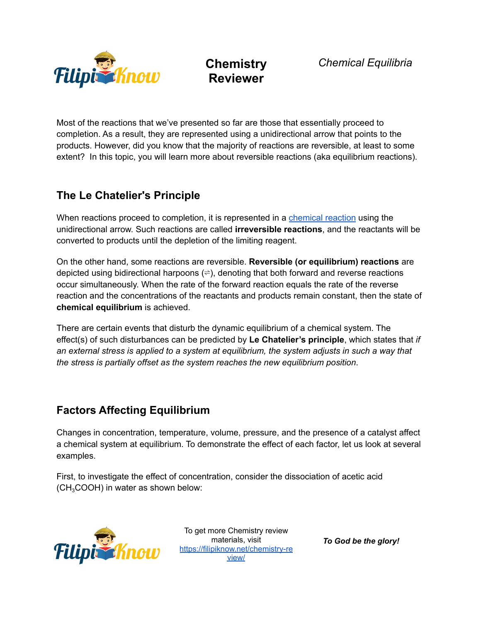

Most of the reactions that we've presented so far are those that essentially proceed to completion. As a result, they are represented using a unidirectional arrow that points to the products. However, did you know that the majority of reactions are reversible, at least to some extent? In this topic, you will learn more about reversible reactions (aka equilibrium reactions).

### **The Le Chatelier's Principle**

When reactions proceed to completion, it is represented in a [chemical](https://filipiknow.net/chemical-reaction-reactant-and-product/) reaction using the unidirectional arrow. Such reactions are called **irreversible reactions**, and the reactants will be converted to products until the depletion of the limiting reagent.

On the other hand, some reactions are reversible. **Reversible (or equilibrium) reactions** are depicted using bidirectional harpoons  $(\Rightarrow)$ , denoting that both forward and reverse reactions occur simultaneously. When the rate of the forward reaction equals the rate of the reverse reaction and the concentrations of the reactants and products remain constant, then the state of **chemical equilibrium** is achieved.

There are certain events that disturb the dynamic equilibrium of a chemical system. The effect(s) of such disturbances can be predicted by **Le Chatelier's principle**, which states that *if an external stress is applied to a system at equilibrium, the system adjusts in such a way that the stress is partially offset as the system reaches the new equilibrium position*.

### **Factors Affecting Equilibrium**

Changes in concentration, temperature, volume, pressure, and the presence of a catalyst affect a chemical system at equilibrium. To demonstrate the effect of each factor, let us look at several examples.

First, to investigate the effect of concentration, consider the dissociation of acetic acid  $(CH<sub>3</sub>COOH)$  in water as shown below:



To get more Chemistry review materials, visit [https://filipiknow.net/chemistry-re](https://filipiknow.net/chemistry-review/) [view/](https://filipiknow.net/chemistry-review/)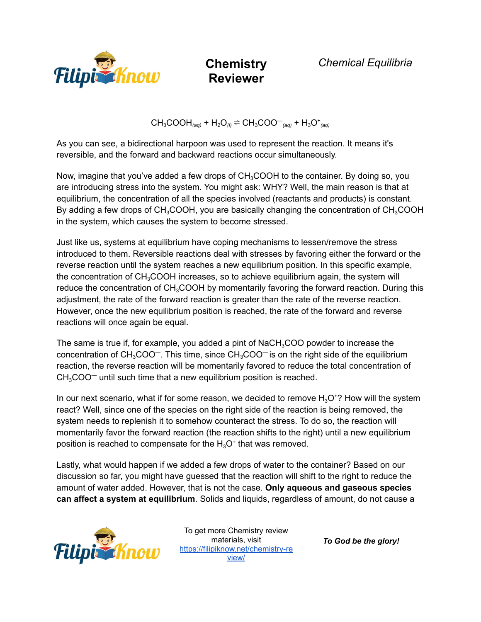

*Chemical Equilibria*

 $CH_3COOH_{(aq)} + H_2O_{(l)} \rightleftharpoons CH_3COO_{(aq)} + H_3O_{(aq)}^+$ 

As you can see, a bidirectional harpoon was used to represent the reaction. It means it's reversible, and the forward and backward reactions occur simultaneously.

Now, imagine that you've added a few drops of  $CH<sub>3</sub>COOH$  to the container. By doing so, you are introducing stress into the system. You might ask: WHY? Well, the main reason is that at equilibrium, the concentration of all the species involved (reactants and products) is constant. By adding a few drops of  $CH_3COOH$ , you are basically changing the concentration of  $CH_3COOH$ in the system, which causes the system to become stressed.

Just like us, systems at equilibrium have coping mechanisms to lessen/remove the stress introduced to them. Reversible reactions deal with stresses by favoring either the forward or the reverse reaction until the system reaches a new equilibrium position. In this specific example, the concentration of  $CH<sub>3</sub>COOH$  increases, so to achieve equilibrium again, the system will reduce the concentration of CH<sub>3</sub>COOH by momentarily favoring the forward reaction. During this adjustment, the rate of the forward reaction is greater than the rate of the reverse reaction. However, once the new equilibrium position is reached, the rate of the forward and reverse reactions will once again be equal.

The same is true if, for example, you added a pint of NaCH<sub>3</sub>COO powder to increase the concentration of  $CH_3COO^-$ . This time, since  $CH_3COO^-$  is on the right side of the equilibrium reaction, the reverse reaction will be momentarily favored to reduce the total concentration of  $CH<sub>3</sub>COO<sup>-</sup>$  until such time that a new equilibrium position is reached.

In our next scenario, what if for some reason, we decided to remove  $H_3O^+$ ? How will the system react? Well, since one of the species on the right side of the reaction is being removed, the system needs to replenish it to somehow counteract the stress. To do so, the reaction will momentarily favor the forward reaction (the reaction shifts to the right) until a new equilibrium position is reached to compensate for the  $H_3O^+$  that was removed.

Lastly, what would happen if we added a few drops of water to the container? Based on our discussion so far, you might have guessed that the reaction will shift to the right to reduce the amount of water added. However, that is not the case. **Only aqueous and gaseous species can affect a system at equilibrium**. Solids and liquids, regardless of amount, do not cause a



To get more Chemistry review materials, visit [https://filipiknow.net/chemistry-re](https://filipiknow.net/chemistry-review/) [view/](https://filipiknow.net/chemistry-review/)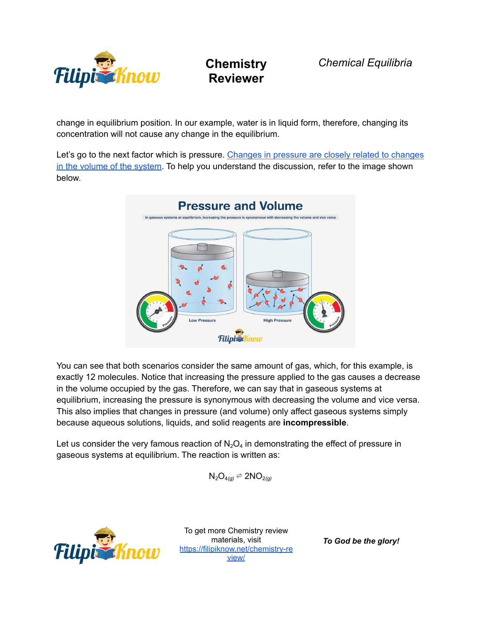

*Chemical Equilibria*

change in equilibrium position. In our example, water is in liquid form, therefore, changing its concentration will not cause any change in the equilibrium.

Let's go to the next factor which is pressure. [Changes](https://filipiknow.net/ideal-gas-law-examples/) in pressure are closely related to changes in the [volume](https://filipiknow.net/ideal-gas-law-examples/) of the system. To help you understand the discussion, refer to the image shown below.



You can see that both scenarios consider the same amount of gas, which, for this example, is exactly 12 molecules. Notice that increasing the pressure applied to the gas causes a decrease in the volume occupied by the gas. Therefore, we can say that in gaseous systems at equilibrium, increasing the pressure is synonymous with decreasing the volume and vice versa. This also implies that changes in pressure (and volume) only affect gaseous systems simply because aqueous solutions, liquids, and solid reagents are **incompressible**.

Let us consider the very famous reaction of  $N_2O_4$  in demonstrating the effect of pressure in gaseous systems at equilibrium. The reaction is written as:

$$
N_2O_{4(g)}\rightleftharpoons 2NO_{2(g)}
$$



To get more Chemistry review materials, visit [https://filipiknow.net/chemistry-re](https://filipiknow.net/chemistry-review/) [view/](https://filipiknow.net/chemistry-review/)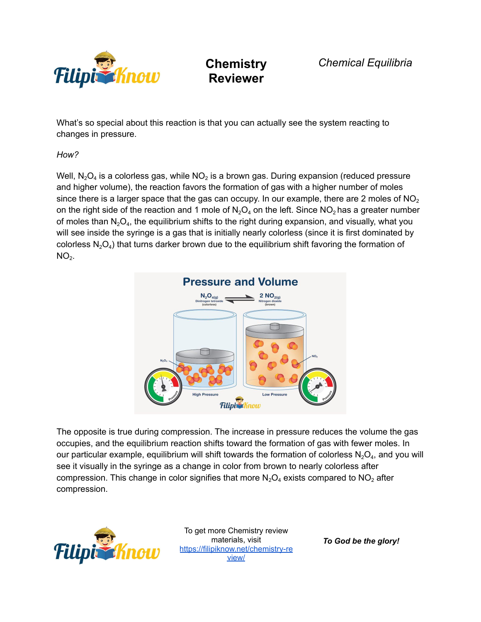

*Chemical Equilibria*

What's so special about this reaction is that you can actually see the system reacting to changes in pressure.

### *How?*

Well, N $_{2}$ O $_{4}$  is a colorless gas, while NO $_{2}$  is a brown gas. During expansion (reduced pressure and higher volume), the reaction favors the formation of gas with a higher number of moles since there is a larger space that the gas can occupy. In our example, there are 2 moles of  $NO<sub>2</sub>$ on the right side of the reaction and 1 mole of  $N_2O_4$  on the left. Since  $NO_2$  has a greater number of moles than  $N_2O_4$ , the equilibrium shifts to the right during expansion, and visually, what you will see inside the syringe is a gas that is initially nearly colorless (since it is first dominated by colorless  $\mathsf{N}_2\mathsf{O}_4$ ) that turns darker brown due to the equilibrium shift favoring the formation of  $NO<sub>2</sub>$ .



The opposite is true during compression. The increase in pressure reduces the volume the gas occupies, and the equilibrium reaction shifts toward the formation of gas with fewer moles. In our particular example, equilibrium will shift towards the formation of colorless  $\mathsf{N}_2\mathsf{O}_4$ , and you will see it visually in the syringe as a change in color from brown to nearly colorless after compression. This change in color signifies that more  $N_2O_4$  exists compared to  $NO_2$  after compression.



To get more Chemistry review materials, visit [https://filipiknow.net/chemistry-re](https://filipiknow.net/chemistry-review/) [view/](https://filipiknow.net/chemistry-review/)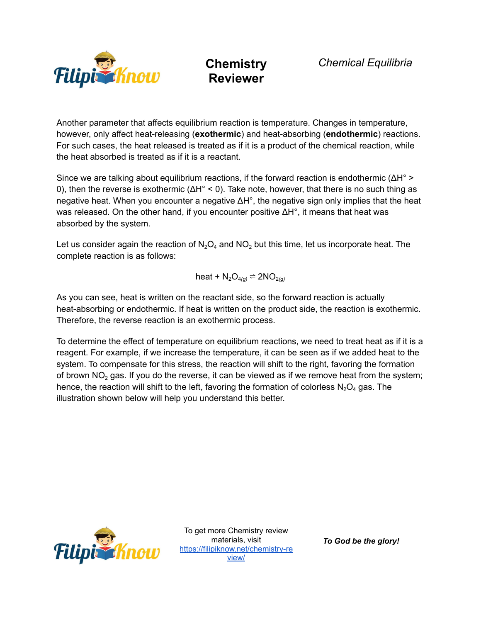

Another parameter that affects equilibrium reaction is temperature. Changes in temperature, however, only affect heat-releasing (**exothermic**) and heat-absorbing (**endothermic**) reactions. For such cases, the heat released is treated as if it is a product of the chemical reaction, while the heat absorbed is treated as if it is a reactant.

Since we are talking about equilibrium reactions, if the forward reaction is endothermic ( $\Delta H^{\circ}$ ) 0), then the reverse is exothermic ( $ΔH° < 0$ ). Take note, however, that there is no such thing as negative heat. When you encounter a negative  $\Delta H^{\circ}$ , the negative sign only implies that the heat was released. On the other hand, if you encounter positive ΔH°, it means that heat was absorbed by the system.

Let us consider again the reaction of  $N_2O_4$  and  $NO_2$  but this time, let us incorporate heat. The complete reaction is as follows:

$$
heat + N_2O_{4(g)} \rightleftharpoons 2NO_{2(g)}
$$

As you can see, heat is written on the reactant side, so the forward reaction is actually heat-absorbing or endothermic. If heat is written on the product side, the reaction is exothermic. Therefore, the reverse reaction is an exothermic process.

To determine the effect of temperature on equilibrium reactions, we need to treat heat as if it is a reagent. For example, if we increase the temperature, it can be seen as if we added heat to the system. To compensate for this stress, the reaction will shift to the right, favoring the formation of brown  $NO<sub>2</sub>$  gas. If you do the reverse, it can be viewed as if we remove heat from the system; hence, the reaction will shift to the left, favoring the formation of colorless  $N<sub>2</sub>O<sub>4</sub>$  gas. The illustration shown below will help you understand this better.



To get more Chemistry review materials, visit [https://filipiknow.net/chemistry-re](https://filipiknow.net/chemistry-review/) [view/](https://filipiknow.net/chemistry-review/)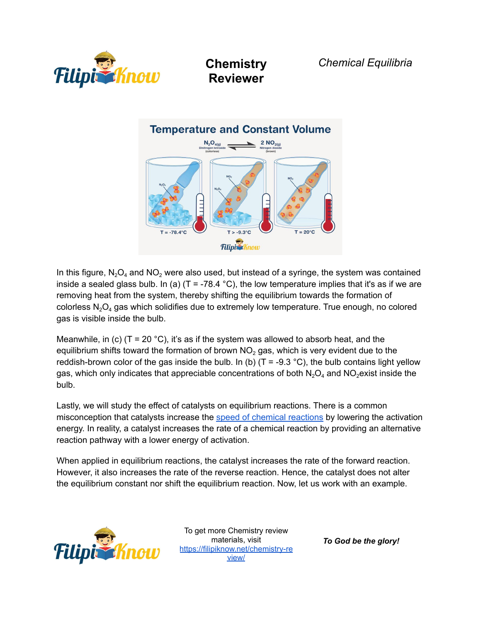



In this figure,  $N_2O_4$  and  $NO_2$  were also used, but instead of a syringe, the system was contained inside a sealed glass bulb. In (a) (T = -78.4 °C), the low temperature implies that it's as if we are removing heat from the system, thereby shifting the equilibrium towards the formation of colorless  $N_2O_4$  gas which solidifies due to extremely low temperature. True enough, no colored gas is visible inside the bulb.

Meanwhile, in (c) (T = 20 °C), it's as if the system was allowed to absorb heat, and the equilibrium shifts toward the formation of brown  $NO<sub>2</sub>$  gas, which is very evident due to the reddish-brown color of the gas inside the bulb. In (b) ( $T = -9.3 \degree C$ ), the bulb contains light yellow gas, which only indicates that appreciable concentrations of both  $N_2O_4$  and  $NO_2$ exist inside the bulb.

Lastly, we will study the effect of catalysts on equilibrium reactions. There is a common misconception that catalysts increase the speed of chemical [reactions](https://filipiknow.net/chemical-kinetics/) by lowering the activation energy. In reality, a catalyst increases the rate of a chemical reaction by providing an alternative reaction pathway with a lower energy of activation.

When applied in equilibrium reactions, the catalyst increases the rate of the forward reaction. However, it also increases the rate of the reverse reaction. Hence, the catalyst does not alter the equilibrium constant nor shift the equilibrium reaction. Now, let us work with an example.



To get more Chemistry review materials, visit [https://filipiknow.net/chemistry-re](https://filipiknow.net/chemistry-review/) [view/](https://filipiknow.net/chemistry-review/)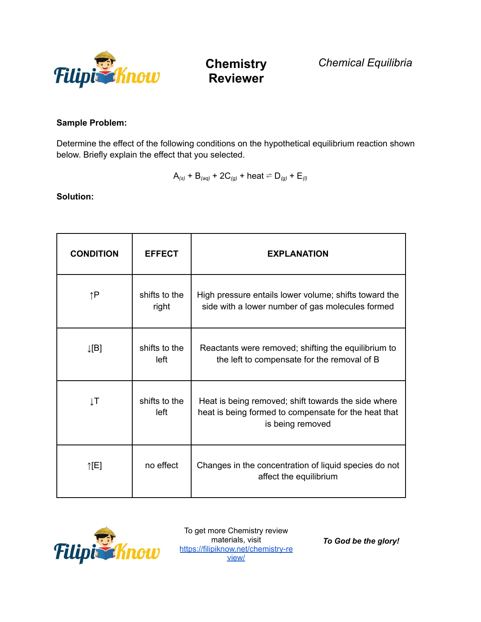

*Chemical Equilibria*

### **Sample Problem:**

Determine the effect of the following conditions on the hypothetical equilibrium reaction shown below. Briefly explain the effect that you selected.

$$
A_{(s)}
$$
 + B<sub>(aq)</sub> + 2C<sub>(g)</sub> + heat  $\rightleftharpoons$  D<sub>(g)</sub> + E<sub>(l)</sub>

**Solution:**

| <b>CONDITION</b> | <b>EFFECT</b>          | <b>EXPLANATION</b>                                                                                                              |
|------------------|------------------------|---------------------------------------------------------------------------------------------------------------------------------|
| ↑P               | shifts to the<br>right | High pressure entails lower volume; shifts toward the<br>side with a lower number of gas molecules formed                       |
| $\downarrow$ [B] | shifts to the<br>left  | Reactants were removed; shifting the equilibrium to<br>the left to compensate for the removal of B                              |
| ŢΤ               | shifts to the<br>left  | Heat is being removed; shift towards the side where<br>heat is being formed to compensate for the heat that<br>is being removed |
| $\uparrow$ [E]   | no effect              | Changes in the concentration of liquid species do not<br>affect the equilibrium                                                 |



To get more Chemistry review materials, visit [https://filipiknow.net/chemistry-re](https://filipiknow.net/chemistry-review/) [view/](https://filipiknow.net/chemistry-review/)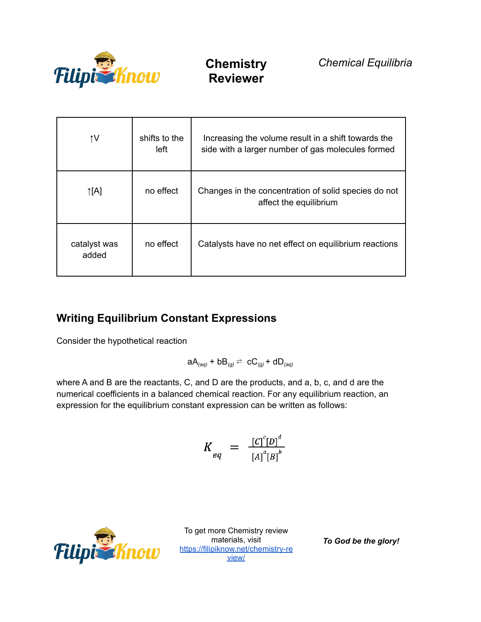

| ↑V                    | shifts to the<br>left | Increasing the volume result in a shift towards the<br>side with a larger number of gas molecules formed |
|-----------------------|-----------------------|----------------------------------------------------------------------------------------------------------|
| $\uparrow$ [A]        | no effect             | Changes in the concentration of solid species do not<br>affect the equilibrium                           |
| catalyst was<br>added | no effect             | Catalysts have no net effect on equilibrium reactions                                                    |

### **Writing Equilibrium Constant Expressions**

Consider the hypothetical reaction

$$
aA_{(aq)} + bB_{(g)} \rightleftharpoons cC_{(g)} + dD_{(aq)}
$$

where A and B are the reactants, C, and D are the products, and a, b, c, and d are the numerical coefficients in a balanced chemical reaction. For any equilibrium reaction, an expression for the equilibrium constant expression can be written as follows:

$$
K_{eq} = \frac{[C]^c[D]^d}{[A]^a[B]^b}
$$



To get more Chemistry review materials, visit [https://filipiknow.net/chemistry-re](https://filipiknow.net/chemistry-review/) [view/](https://filipiknow.net/chemistry-review/)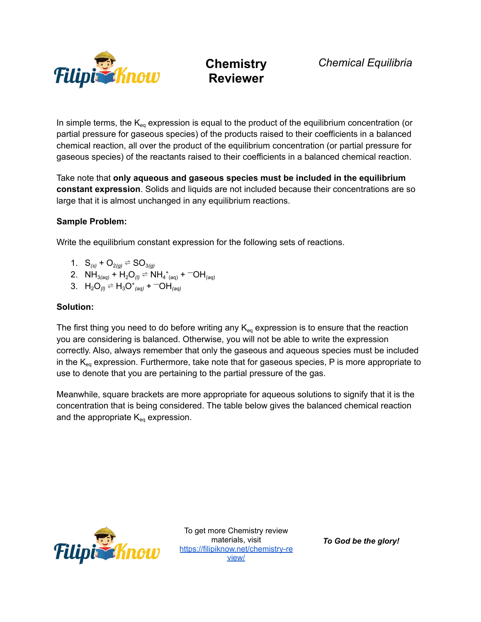

In simple terms, the  $K_{eq}$  expression is equal to the product of the equilibrium concentration (or partial pressure for gaseous species) of the products raised to their coefficients in a balanced chemical reaction, all over the product of the equilibrium concentration (or partial pressure for gaseous species) of the reactants raised to their coefficients in a balanced chemical reaction.

Take note that **only aqueous and gaseous species must be included in the equilibrium constant expression**. Solids and liquids are not included because their concentrations are so large that it is almost unchanged in any equilibrium reactions.

#### **Sample Problem:**

Write the equilibrium constant expression for the following sets of reactions.

- 1.  $S_{(s)} + O_{2(a)} \rightleftharpoons SO_{3(a)}$
- 2.  $NH_{3(aq)} + H_2O_{(l)} \rightleftharpoons NH_4^+_{(aq)} + \leftarrow OH_{(aq)}$
- 3.  $H_2O_{(l)} \rightleftharpoons H_3O_{(aq)}^+ + \text{O}H_{(aq)}$

#### **Solution:**

The first thing you need to do before writing any  $K_{eq}$  expression is to ensure that the reaction you are considering is balanced. Otherwise, you will not be able to write the expression correctly. Also, always remember that only the gaseous and aqueous species must be included in the  $K_{eq}$  expression. Furthermore, take note that for gaseous species, P is more appropriate to use to denote that you are pertaining to the partial pressure of the gas.

Meanwhile, square brackets are more appropriate for aqueous solutions to signify that it is the concentration that is being considered. The table below gives the balanced chemical reaction and the appropriate  $K_{eq}$  expression.



To get more Chemistry review materials, visit [https://filipiknow.net/chemistry-re](https://filipiknow.net/chemistry-review/) [view/](https://filipiknow.net/chemistry-review/)